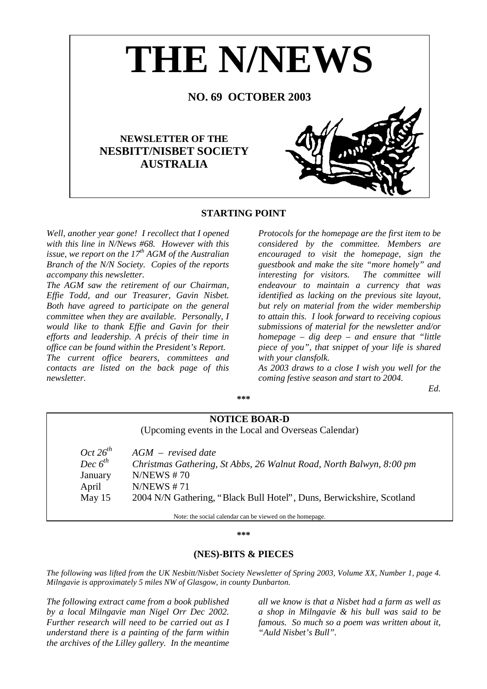

# **STARTING POINT**

*Well, another year gone! I recollect that I opened with this line in N/News #68. However with this issue, we report on the*  $17<sup>th</sup> AGM$  *of the Australian Branch of the N/N Society. Copies of the reports accompany this newsletter.* 

*The AGM saw the retirement of our Chairman, Effie Todd, and our Treasurer, Gavin Nisbet. Both have agreed to participate on the general committee when they are available. Personally, I would like to thank Effie and Gavin for their efforts and leadership. A précis of their time in office can be found within the President's Report. The current office bearers, committees and contacts are listed on the back page of this newsletter.* 

*Protocols for the homepage are the first item to be considered by the committee. Members are encouraged to visit the homepage, sign the guestbook and make the site "more homely" and interesting for visitors. The committee will endeavour to maintain a currency that was identified as lacking on the previous site layout, but rely on material from the wider membership to attain this. I look forward to receiving copious submissions of material for the newsletter and/or homepage – dig deep – and ensure that "little piece of you", that snippet of your life is shared with your clansfolk.* 

*As 2003 draws to a close I wish you well for the coming festive season and start to 2004.* 

*Ed.* 

#### **\*\*\***

# **NOTICE BOAR-D**

(Upcoming events in the Local and Overseas Calendar)

| Oct $26^{th}$ | $AGM$ – revised date                                                 |
|---------------|----------------------------------------------------------------------|
| Dec $6^{th}$  | Christmas Gathering, St Abbs, 26 Walnut Road, North Balwyn, 8:00 pm  |
| January       | N/NEWS # 70                                                          |
| April         | N/NEWS # 71                                                          |
| May $15$      | 2004 N/N Gathering, "Black Bull Hotel", Duns, Berwickshire, Scotland |
|               |                                                                      |

Note: the social calendar can be viewed on the homepage.

#### **\*\*\***

# **(NES)-BITS & PIECES**

*The following was lifted from the UK Nesbitt/Nisbet Society Newsletter of Spring 2003, Volume XX, Number 1, page 4. Milngavie is approximately 5 miles NW of Glasgow, in county Dunbarton.* 

*The following extract came from a book published by a local Milngavie man Nigel Orr Dec 2002. Further research will need to be carried out as I understand there is a painting of the farm within the archives of the Lilley gallery. In the meantime* 

*all we know is that a Nisbet had a farm as well as a shop in Milngavie & his bull was said to be famous. So much so a poem was written about it, "Auld Nisbet's Bull".*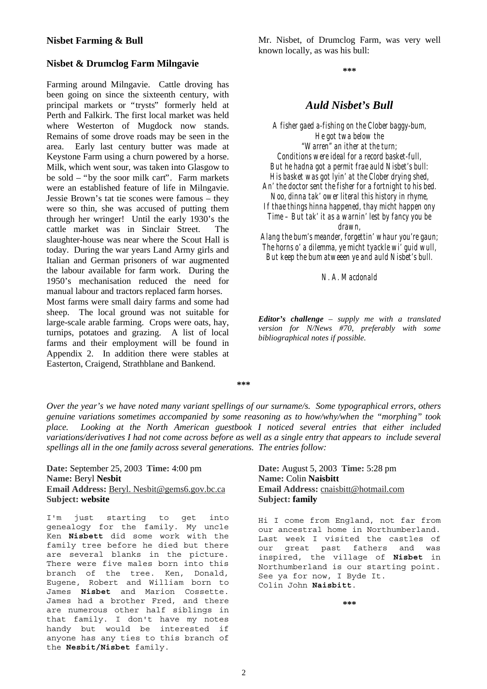#### **Nisbet Farming & Bull**

#### **Nisbet & Drumclog Farm Milngavie**

Farming around Milngavie. Cattle droving has been going on since the sixteenth century, with principal markets or "trysts" formerly held at Perth and Falkirk. The first local market was held where Westerton of Mugdock now stands. Remains of some drove roads may be seen in the area. Early last century butter was made at Keystone Farm using a churn powered by a horse. Milk, which went sour, was taken into Glasgow to be sold – "by the soor milk cart". Farm markets were an established feature of life in Milngavie. Jessie Brown's tat tie scones were famous – they were so thin, she was accused of putting them through her wringer! Until the early 1930's the cattle market was in Sinclair Street. The slaughter-house was near where the Scout Hall is today. During the war years Land Army girls and Italian and German prisoners of war augmented the labour available for farm work. During the 1950's mechanisation reduced the need for manual labour and tractors replaced farm horses. Most farms were small dairy farms and some had sheep. The local ground was not suitable for large-scale arable farming. Crops were oats, hay, turnips, potatoes and grazing. A list of local

farms and their employment will be found in Appendix 2. In addition there were stables at Easterton, Craigend, Strathblane and Bankend.

Mr. Nisbet, of Drumclog Farm, was very well known locally, as was his bull:

**\*\*\*** 

# *Auld Nisbet's Bull*

*A fisher gaed a-fishing on the Clober baggy-bum, He got twa below the "Warren" an ither at the turn; Conditions were ideal for a record basket-full, But he hadna got a permit frae auld Nisbet's bull: His basket was got lyin' at the Clober drying shed, An' the doctor sent the fisher for a fortnight to his bed. Noo, dinna tak' ower literal this history in rhyme, If thae things hinna happened, thay micht happen ony Time – But tak' it as a warnin' lest by fancy you be drawn,* 

*Alang the bum's meander, forgettin' whaur you're gaun; The horns o' a dilemma, ye micht tyackle wi' guid wull, But keep the bum atweeen ye and auld Nisbet's bull.* 

*N. A. Macdonald* 

*Editor's challenge – supply me with a translated version for N/News #70, preferably with some bibliographical notes if possible.* 

**\*\*\*** 

*Over the year's we have noted many variant spellings of our surname/s. Some typographical errors, others genuine variations sometimes accompanied by some reasoning as to how/why/when the "morphing" took place. Looking at the North American guestbook I noticed several entries that either included variations/derivatives I had not come across before as well as a single entry that appears to include several spellings all in the one family across several generations. The entries follow:* 

**Date:** September 25, 2003 **Time:** 4:00 pm **Name:** Beryl **Nesbit Email Address:** Beryl. Nesbit@gems6.gov.bc.ca **Subject: website**

I'm just starting to get into genealogy for the family. My uncle Ken **Nisbett** did some work with the family tree before he died but there are several blanks in the picture. There were five males born into this branch of the tree. Ken, Donald, Eugene, Robert and William born to James **Nisbet** and Marion Cossette. James had a brother Fred, and there are numerous other half siblings in that family. I don't have my notes handy but would be interested if anyone has any ties to this branch of the **Nesbit/Nisbet** family.

# **Date:** August 5, 2003 **Time:** 5:28 pm **Name:** Colin **Naisbitt Email Address:** cnaisbitt@hotmail.com **Subject: family**

Hi I come from England, not far from our ancestral home in Northumberland. Last week I visited the castles of our great past fathers and was inspired, the village of **Nisbet** in Northumberland is our starting point. See ya for now, I Byde It. Colin John **Naisbitt**.

**\*\*\***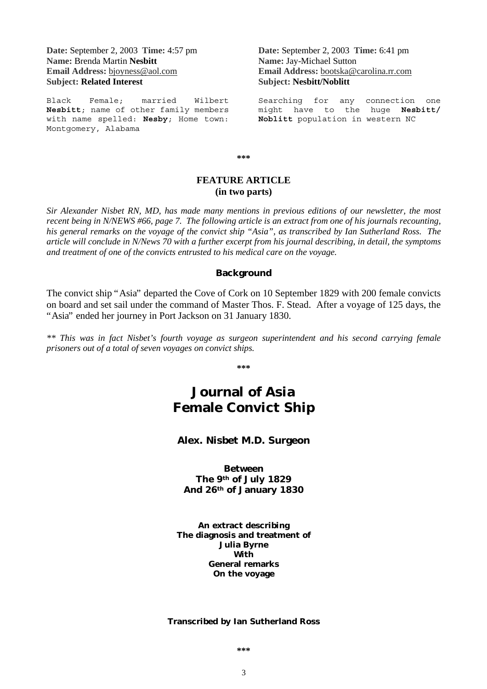**Date:** September 2, 2003 **Time:** 4:57 pm **Name:** Brenda Martin **Nesbitt Email Address:** bjoyness@aol.com **Subject: Related Interest**

Black Female; married Wilbert **Nesbitt**; name of other family members with name spelled: **Nesby**; Home town: Montgomery, Alabama

**Date:** September 2, 2003 **Time:** 6:41 pm **Name:** Jay-Michael Sutton **Email Address:** bootska@carolina.rr.com **Subject: Nesbitt/Noblitt**

Searching for any connection one might have to the huge **Nesbitt/ Noblitt** population in western NC

**\*\*\*** 

# **FEATURE ARTICLE (in two parts)**

*Sir Alexander Nisbet RN, MD, has made many mentions in previous editions of our newsletter, the most recent being in N/NEWS #66, page 7. The following article is an extract from one of his journals recounting, his general remarks on the voyage of the convict ship "Asia", as transcribed by Ian Sutherland Ross. The article will conclude in N/News 70 with a further excerpt from his journal describing, in detail, the symptoms and treatment of one of the convicts entrusted to his medical care on the voyage.* 

### **Background**

The convict ship "Asia" departed the Cove of Cork on 10 September 1829 with 200 female convicts on board and set sail under the command of Master Thos. F. Stead. After a voyage of 125 days, the "Asia" ended her journey in Port Jackson on 31 January 1830.

*\*\* This was in fact Nisbet's fourth voyage as surgeon superintendent and his second carrying female prisoners out of a total of seven voyages on convict ships.* 

**\*\*\*** 

# **Journal of** *Asia* **Female Convict Ship**

### **Alex. Nisbet M.D. Surgeon**

**Between The 9th of July 1829 And 26th of January 1830** 

**An extract describing The diagnosis and treatment of Julia Byrne With General remarks On the voyage** 

#### **Transcribed by Ian Sutherland Ross**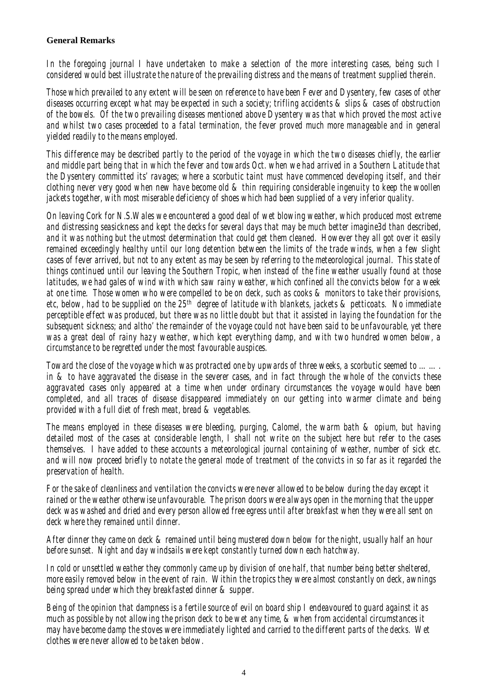# **General Remarks**

*In the foregoing journal I have undertaken to make a selection of the more interesting cases, being such I considered would best illustrate the nature of the prevailing distress and the means of treatment supplied therein.* 

*Those which prevailed to any extent will be seen on reference to have been Fever and Dysentery, few cases of other diseases occurring except what may be expected in such a society; trifling accidents & slips & cases of obstruction of the bowels. Of the two prevailing diseases mentioned above Dysentery was that which proved the most active and whilst two cases proceeded to a fatal termination, the fever proved much more manageable and in general yielded readily to the means employed.* 

*This difference may be described partly to the period of the voyage in which the two diseases chiefly, the earlier and middle part being that in which the fever and towards Oct. when we had arrived in a Southern Latitude that the Dysentery committed its' ravages; where a scorbutic taint must have commenced developing itself, and their clothing never very good when new have become old & thin requiring considerable ingenuity to keep the woollen jackets together, with most miserable deficiency of shoes which had been supplied of a very inferior quality.* 

*On leaving Cork for N.S.Wales we encountered a good deal of wet blowing weather, which produced most extreme and distressing seasickness and kept the decks for several days that may be much better imagine3d than described, and it was nothing but the utmost determination that could get them cleaned. However they all got over it easily remained exceedingly healthy until our long detention between the limits of the trade winds, when a few slight cases of fever arrived, but not to any extent as may be seen by referring to the meteorological journal. This state of things continued until our leaving the Southern Tropic, when instead of the fine weather usually found at those latitudes, we had gales of wind with which saw rainy weather, which confined all the convicts below for a week at one time. Those women who were compelled to be on deck, such as cooks & monitors to take their provisions, etc, below, had to be supplied on the 25th degree of latitude with blankets, jackets & petticoats. No immediate perceptible effect was produced, but there was no little doubt but that it assisted in laying the foundation for the subsequent sickness; and altho' the remainder of the voyage could not have been said to be unfavourable, yet there was a great deal of rainy hazy weather, which kept everything damp, and with two hundred women below, a circumstance to be regretted under the most favourable auspices.* 

*Toward the close of the voyage which was protracted one by upwards of three weeks, a scorbutic seemed to ……. in & to have aggravated the disease in the severer cases, and in fact through the whole of the convicts these aggravated cases only appeared at a time when under ordinary circumstances the voyage would have been completed, and all traces of disease disappeared immediately on our getting into warmer climate and being provided with a full diet of fresh meat, bread & vegetables.* 

*The means employed in these diseases were bleeding, purging, Calomel, the warm bath & opium, but having detailed most of the cases at considerable length, I shall not write on the subject here but refer to the cases themselves. I have added to these accounts a meteorological journal containing of weather, number of sick etc. and will now proceed briefly to notate the general mode of treatment of the convicts in so far as it regarded the preservation of health.* 

*For the sake of cleanliness and ventilation the convicts were never allowed to be below during the day except it rained or the weather otherwise unfavourable. The prison doors were always open in the morning that the upper deck was washed and dried and every person allowed free egress until after breakfast when they were all sent on deck where they remained until dinner.* 

*After dinner they came on deck & remained until being mustered down below for the night, usually half an hour before sunset. Night and day windsails were kept constantly turned down each hatchway.* 

*In cold or unsettled weather they commonly came up by division of one half, that number being better sheltered, more easily removed below in the event of rain. Within the tropics they were almost constantly on deck, awnings being spread under which they breakfasted dinner & supper.* 

*Being of the opinion that dampness is a fertile source of evil on board ship I endeavoured to guard against it as much as possible by not allowing the prison deck to be wet any time, & when from accidental circumstances it may have become damp the stoves were immediately lighted and carried to the different parts of the decks. Wet clothes were never allowed to be taken below.*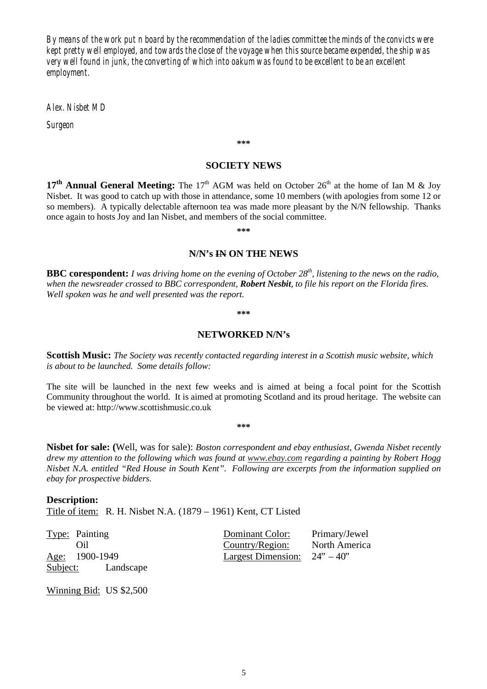*By means of the work put n board by the recommendation of the ladies committee the minds of the convicts were kept pretty well employed, and towards the close of the voyage when this source became expended, the ship was very well found in junk, the converting of which into oakum was found to be excellent to be an excellent employment.* 

*Alex. Nisbet MD* 

*Surgeon* 

**\*\*\*** 

# **SOCIETY NEWS**

17<sup>th</sup> Annual General Meeting: The 17<sup>th</sup> AGM was held on October 26<sup>th</sup> at the home of Ian M & Joy Nisbet. It was good to catch up with those in attendance, some 10 members (with apologies from some 12 or so members). A typically delectable afternoon tea was made more pleasant by the N/N fellowship. Thanks once again to hosts Joy and Ian Nisbet, and members of the social committee.

**\*\*\*** 

#### **N/N's IN ON THE NEWS**

**BBC corespondent:** *I was driving home on the evening of October 28<sup>th</sup>, listening to the news on the radio, when the newsreader crossed to BBC correspondent, Robert Nesbit, to file his report on the Florida fires. Well spoken was he and well presented was the report.* 

**\*\*\*** 

#### **NETWORKED N/N's**

**Scottish Music:** *The Society was recently contacted regarding interest in a Scottish music website, which is about to be launched. Some details follow:* 

The site will be launched in the next few weeks and is aimed at being a focal point for the Scottish Community throughout the world. It is aimed at promoting Scotland and its proud heritage. The website can be viewed at: http://www.scottishmusic.co.uk

**\*\*\*** 

**Nisbet for sale: (**Well, was for sale): *Boston correspondent and ebay enthusiast, Gwenda Nisbet recently drew my attention to the following which was found at www.ebay.com regarding a painting by Robert Hogg Nisbet N.A. entitled "Red House in South Kent". Following are excerpts from the information supplied on ebay for prospective bidders.* 

**Description:**  Title of item: R. H. Nisbet N.A. (1879 – 1961) Kent, CT Listed

| <b>Type:</b> Painting | Dominant Color:                                            | Primary/Jewel |
|-----------------------|------------------------------------------------------------|---------------|
| Oil)                  | Country/Region:                                            | North America |
| <u>Age:</u> 1900-1949 | Largest Dimension: $24^{\prime\prime} - 40^{\prime\prime}$ |               |
| Subject: Landscape    |                                                            |               |

Winning Bid: US \$2,500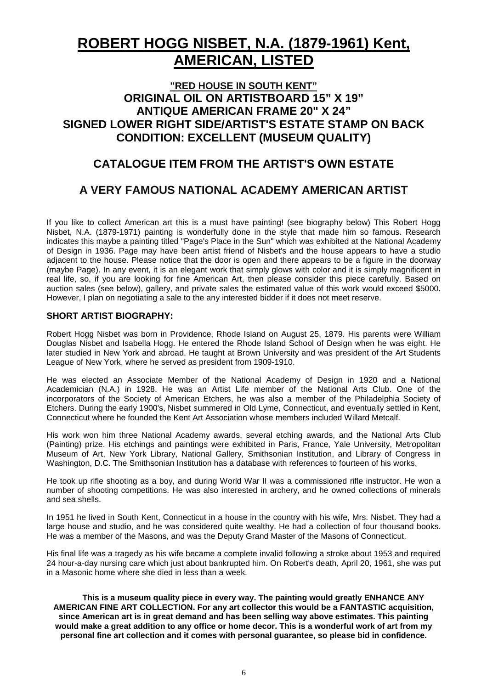# **ROBERT HOGG NISBET, N.A. (1879-1961) Kent, AMERICAN, LISTED**

# **"RED HOUSE IN SOUTH KENT" ORIGINAL OIL ON ARTISTBOARD 15" X 19" ANTIQUE AMERICAN FRAME 20" X 24" SIGNED LOWER RIGHT SIDE/ARTIST'S ESTATE STAMP ON BACK CONDITION: EXCELLENT (MUSEUM QUALITY)**

# **CATALOGUE ITEM FROM THE ARTIST'S OWN ESTATE**

# **A VERY FAMOUS NATIONAL ACADEMY AMERICAN ARTIST**

If you like to collect American art this is a must have painting! (see biography below) This Robert Hogg Nisbet, N.A. (1879-1971) painting is wonderfully done in the style that made him so famous. Research indicates this maybe a painting titled "Page's Place in the Sun" which was exhibited at the National Academy of Design in 1936. Page may have been artist friend of Nisbet's and the house appears to have a studio adjacent to the house. Please notice that the door is open and there appears to be a figure in the doorway (maybe Page). In any event, it is an elegant work that simply glows with color and it is simply magnificent in real life, so, if you are looking for fine American Art, then please consider this piece carefully. Based on auction sales (see below), gallery, and private sales the estimated value of this work would exceed \$5000. However, I plan on negotiating a sale to the any interested bidder if it does not meet reserve.

# **SHORT ARTIST BIOGRAPHY:**

Robert Hogg Nisbet was born in Providence, Rhode Island on August 25, 1879. His parents were William Douglas Nisbet and Isabella Hogg. He entered the Rhode Island School of Design when he was eight. He later studied in New York and abroad. He taught at Brown University and was president of the Art Students League of New York, where he served as president from 1909-1910.

He was elected an Associate Member of the National Academy of Design in 1920 and a National Academician (N.A.) in 1928. He was an Artist Life member of the National Arts Club. One of the incorporators of the Society of American Etchers, he was also a member of the Philadelphia Society of Etchers. During the early 1900's, Nisbet summered in Old Lyme, Connecticut, and eventually settled in Kent, Connecticut where he founded the Kent Art Association whose members included Willard Metcalf.

His work won him three National Academy awards, several etching awards, and the National Arts Club (Painting) prize. His etchings and paintings were exhibited in Paris, France, Yale University, Metropolitan Museum of Art, New York Library, National Gallery, Smithsonian Institution, and Library of Congress in Washington, D.C. The Smithsonian Institution has a database with references to fourteen of his works.

He took up rifle shooting as a boy, and during World War II was a commissioned rifle instructor. He won a number of shooting competitions. He was also interested in archery, and he owned collections of minerals and sea shells.

In 1951 he lived in South Kent, Connecticut in a house in the country with his wife, Mrs. Nisbet. They had a large house and studio, and he was considered quite wealthy. He had a collection of four thousand books. He was a member of the Masons, and was the Deputy Grand Master of the Masons of Connecticut.

His final life was a tragedy as his wife became a complete invalid following a stroke about 1953 and required 24 hour-a-day nursing care which just about bankrupted him. On Robert's death, April 20, 1961, she was put in a Masonic home where she died in less than a week.

**This is a museum quality piece in every way. The painting would greatly ENHANCE ANY AMERICAN FINE ART COLLECTION. For any art collector this would be a FANTASTIC acquisition, since American art is in great demand and has been selling way above estimates. This painting would make a great addition to any office or home decor. This is a wonderful work of art from my personal fine art collection and it comes with personal guarantee, so please bid in confidence.**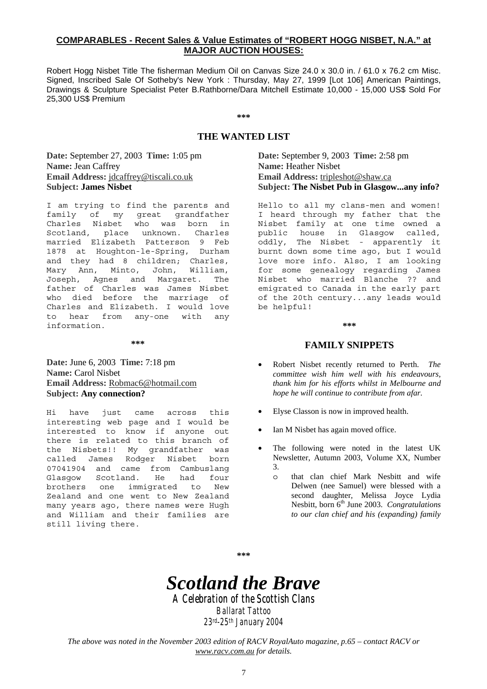# **COMPARABLES - Recent Sales & Value Estimates of "ROBERT HOGG NISBET, N.A." at MAJOR AUCTION HOUSES:**

Robert Hogg Nisbet Title The fisherman Medium Oil on Canvas Size 24.0 x 30.0 in. / 61.0 x 76.2 cm Misc. Signed, Inscribed Sale Of Sotheby's New York : Thursday, May 27, 1999 [Lot 106] American Paintings, Drawings & Sculpture Specialist Peter B.Rathborne/Dara Mitchell Estimate 10,000 - 15,000 US\$ Sold For 25,300 US\$ Premium

**\*\*\*** 

# **THE WANTED LIST**

**Date:** September 27, 2003 **Time:** 1:05 pm **Name:** Jean Caffrey **Email Address:** jdcaffrey@tiscali.co.uk **Subject: James Nisbet**

I am trying to find the parents and family of my great grandfather Charles Nisbet who was born in Scotland, place unknown. Charles married Elizabeth Patterson 9 Feb 1878 at Houghton-le-Spring, Durham and they had 8 children; Charles, Mary Ann, Minto, John, William, Joseph, Agnes and Margaret. The father of Charles was James Nisbet who died before the marriage of Charles and Elizabeth. I would love to hear from any-one with any information.

**\*\*\*** 

**Date:** June 6, 2003 **Time:** 7:18 pm **Name:** Carol Nisbet **Email Address:** Robmac6@hotmail.com **Subject: Any connection?**

Hi have just came across this interesting web page and I would be interested to know if anyone out there is related to this branch of the Nisbets!! My grandfather was called James Rodger Nisbet born 07041904 and came from Cambuslang Glasgow Scotland. He had four brothers one immigrated to New Zealand and one went to New Zealand many years ago, there names were Hugh and William and their families are still living there.

**Date:** September 9, 2003 **Time:** 2:58 pm **Name:** Heather Nisbet **Email Address:** tripleshot@shaw.ca **Subject: The Nisbet Pub in Glasgow...any info?**

Hello to all my clans-men and women! I heard through my father that the Nisbet family at one time owned a public house in Glasgow called, oddly, The Nisbet - apparently it burnt down some time ago, but I would love more info. Also, I am looking for some genealogy regarding James Nisbet who married Blanche ?? and emigrated to Canada in the early part of the 20th century...any leads would be helpful!

#### **\*\*\***

#### **FAMILY SNIPPETS**

- Robert Nisbet recently returned to Perth. *The committee wish him well with his endeavours, thank him for his efforts whilst in Melbourne and hope he will continue to contribute from afar.*
- Elyse Classon is now in improved health.
- Ian M Nisbet has again moved office.
- The following were noted in the latest UK Newsletter, Autumn 2003, Volume XX, Number 3.
	- o that clan chief Mark Nesbitt and wife Delwen (nee Samuel) were blessed with a second daughter, Melissa Joyce Lydia Nesbitt, born  $6<sup>th</sup>$  June 2003. *Congratulations to our clan chief and his (expanding) family*

**\*\*\*** 

# *Scotland the Brave*

*A Celebration of the Scottish Clans Clans Ballarat Tattoo* 

*23rd-25th January 2004*

*The above was noted in the November 2003 edition of RACV RoyalAuto magazine, p.65 – contact RACV or www.racv.com.au for details.*